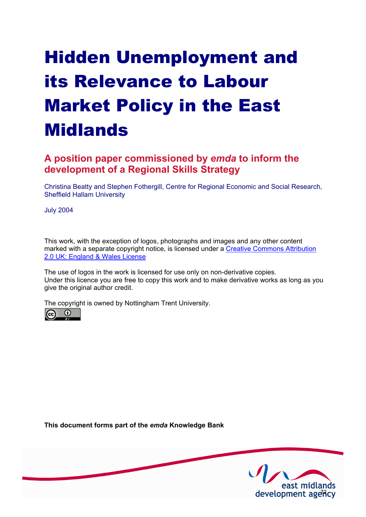# Hidden Unemployment and its Relevance to Labour Market Policy in the East **Midlands**

# **A position paper commissioned by** *emda* **to inform the development of a Regional Skills Strategy**

Christina Beatty and Stephen Fothergill, Centre for Regional Economic and Social Research, Sheffield Hallam University

July 2004

This work, with the exception of logos, photographs and images and any other content [marked with a separate copyright notice, is licensed under a Creative Commons Attribution](http://creativecommons.org/licenses/by/2.0/uk) 2.0 UK: England & Wales License

The use of logos in the work is licensed for use only on non-derivative copies. Under this licence you are free to copy this work and to make derivative works as long as you give the original author credit.

The copyright is owned by Nottingham Trent University.

**This document forms part of the** *emda* **Knowledge Bank** 

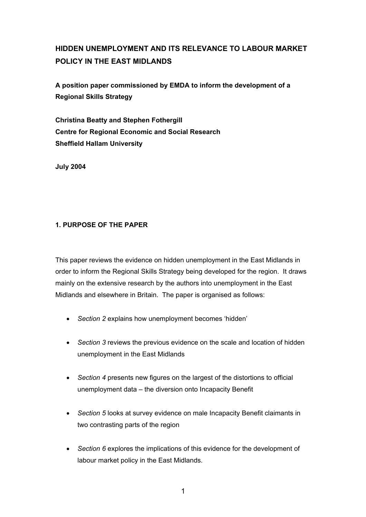# **HIDDEN UNEMPLOYMENT AND ITS RELEVANCE TO LABOUR MARKET POLICY IN THE EAST MIDLANDS**

**A position paper commissioned by EMDA to inform the development of a Regional Skills Strategy** 

**Christina Beatty and Stephen Fothergill Centre for Regional Economic and Social Research Sheffield Hallam University** 

**July 2004** 

## **1. PURPOSE OF THE PAPER**

This paper reviews the evidence on hidden unemployment in the East Midlands in order to inform the Regional Skills Strategy being developed for the region. It draws mainly on the extensive research by the authors into unemployment in the East Midlands and elsewhere in Britain. The paper is organised as follows:

- *Section 2* explains how unemployment becomes 'hidden'
- *Section 3* reviews the previous evidence on the scale and location of hidden unemployment in the East Midlands
- *Section 4* presents new figures on the largest of the distortions to official unemployment data – the diversion onto Incapacity Benefit
- *Section 5* looks at survey evidence on male Incapacity Benefit claimants in two contrasting parts of the region
- *Section 6* explores the implications of this evidence for the development of labour market policy in the East Midlands.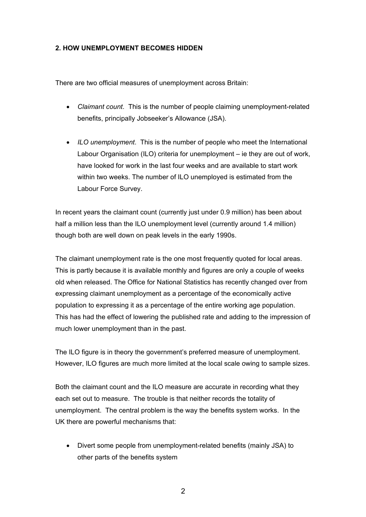#### **2. HOW UNEMPLOYMENT BECOMES HIDDEN**

There are two official measures of unemployment across Britain:

- *Claimant count*. This is the number of people claiming unemployment-related benefits, principally Jobseeker's Allowance (JSA).
- *ILO unemployment*. This is the number of people who meet the International Labour Organisation (ILO) criteria for unemployment – ie they are out of work, have looked for work in the last four weeks and are available to start work within two weeks. The number of ILO unemployed is estimated from the Labour Force Survey.

In recent years the claimant count (currently just under 0.9 million) has been about half a million less than the ILO unemployment level (currently around 1.4 million) though both are well down on peak levels in the early 1990s.

The claimant unemployment rate is the one most frequently quoted for local areas. This is partly because it is available monthly and figures are only a couple of weeks old when released. The Office for National Statistics has recently changed over from expressing claimant unemployment as a percentage of the economically active population to expressing it as a percentage of the entire working age population. This has had the effect of lowering the published rate and adding to the impression of much lower unemployment than in the past.

The ILO figure is in theory the government's preferred measure of unemployment. However, ILO figures are much more limited at the local scale owing to sample sizes.

Both the claimant count and the ILO measure are accurate in recording what they each set out to measure. The trouble is that neither records the totality of unemployment. The central problem is the way the benefits system works. In the UK there are powerful mechanisms that:

• Divert some people from unemployment-related benefits (mainly JSA) to other parts of the benefits system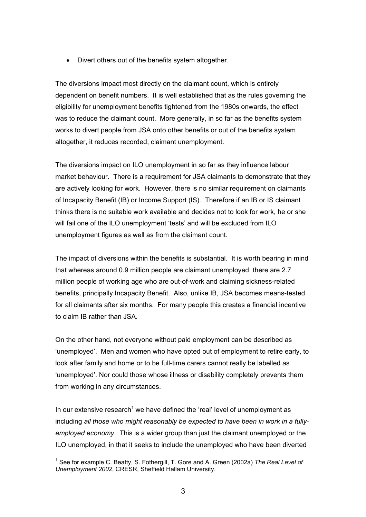• Divert others out of the benefits system altogether.

The diversions impact most directly on the claimant count, which is entirely dependent on benefit numbers. It is well established that as the rules governing the eligibility for unemployment benefits tightened from the 1980s onwards, the effect was to reduce the claimant count. More generally, in so far as the benefits system works to divert people from JSA onto other benefits or out of the benefits system altogether, it reduces recorded, claimant unemployment.

The diversions impact on ILO unemployment in so far as they influence labour market behaviour. There is a requirement for JSA claimants to demonstrate that they are actively looking for work. However, there is no similar requirement on claimants of Incapacity Benefit (IB) or Income Support (IS). Therefore if an IB or IS claimant thinks there is no suitable work available and decides not to look for work, he or she will fail one of the ILO unemployment 'tests' and will be excluded from ILO unemployment figures as well as from the claimant count.

The impact of diversions within the benefits is substantial. It is worth bearing in mind that whereas around 0.9 million people are claimant unemployed, there are 2.7 million people of working age who are out-of-work and claiming sickness-related benefits, principally Incapacity Benefit. Also, unlike IB, JSA becomes means-tested for all claimants after six months. For many people this creates a financial incentive to claim IB rather than JSA.

On the other hand, not everyone without paid employment can be described as 'unemployed'. Men and women who have opted out of employment to retire early, to look after family and home or to be full-time carers cannot really be labelled as 'unemployed'. Nor could those whose illness or disability completely prevents them from working in any circumstances.

In our extensive research<sup>1</sup> we have defined the 'real' level of unemployment as including *all those who might reasonably be expected to have been in work in a fullyemployed economy*. This is a wider group than just the claimant unemployed or the ILO unemployed, in that it seeks to include the unemployed who have been diverted

 $\overline{a}$ <sup>1</sup> See for example C. Beatty, S. Fothergill, T. Gore and A. Green (2002a) The Real Level of *Unemployment 2002*, CRESR, Sheffield Hallam University.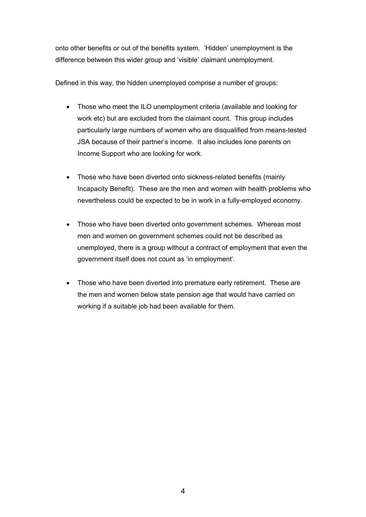onto other benefits or out of the benefits system. 'Hidden' unemployment is the difference between this wider group and 'visible' claimant unemployment.

Defined in this way, the hidden unemployed comprise a number of groups:

- Those who meet the ILO unemployment criteria (available and looking for work etc) but are excluded from the claimant count. This group includes particularly large numbers of women who are disqualified from means-tested JSA because of their partner's income. It also includes lone parents on Income Support who are looking for work.
- Those who have been diverted onto sickness-related benefits (mainly Incapacity Benefit). These are the men and women with health problems who nevertheless could be expected to be in work in a fully-employed economy.
- Those who have been diverted onto government schemes. Whereas most men and women on government schemes could not be described as unemployed, there is a group without a contract of employment that even the government itself does not count as 'in employment'.
- Those who have been diverted into premature early retirement. These are the men and women below state pension age that would have carried on working if a suitable job had been available for them.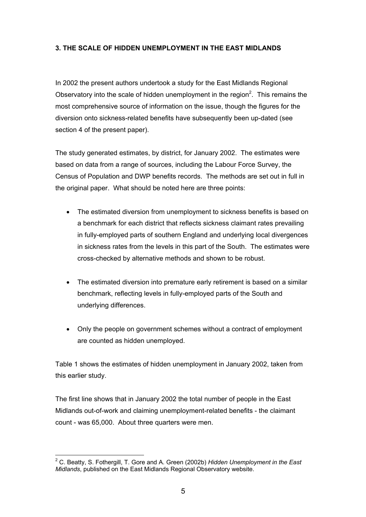#### **3. THE SCALE OF HIDDEN UNEMPLOYMENT IN THE EAST MIDLANDS**

In 2002 the present authors undertook a study for the East Midlands Regional Observatory into the scale of hidden unemployment in the region<sup>2</sup>. This remains the most comprehensive source of information on the issue, though the figures for the diversion onto sickness-related benefits have subsequently been up-dated (see section 4 of the present paper).

The study generated estimates, by district, for January 2002. The estimates were based on data from a range of sources, including the Labour Force Survey, the Census of Population and DWP benefits records. The methods are set out in full in the original paper. What should be noted here are three points:

- The estimated diversion from unemployment to sickness benefits is based on a benchmark for each district that reflects sickness claimant rates prevailing in fully-employed parts of southern England and underlying local divergences in sickness rates from the levels in this part of the South. The estimates were cross-checked by alternative methods and shown to be robust.
- The estimated diversion into premature early retirement is based on a similar benchmark, reflecting levels in fully-employed parts of the South and underlying differences.
- Only the people on government schemes without a contract of employment are counted as hidden unemployed.

Table 1 shows the estimates of hidden unemployment in January 2002, taken from this earlier study.

The first line shows that in January 2002 the total number of people in the East Midlands out-of-work and claiming unemployment-related benefits - the claimant count - was 65,000. About three quarters were men.

 $\overline{a}$ 2 C. Beatty, S. Fothergill, T. Gore and A. Green (2002b) *Hidden Unemployment in the East Midlands*, published on the East Midlands Regional Observatory website.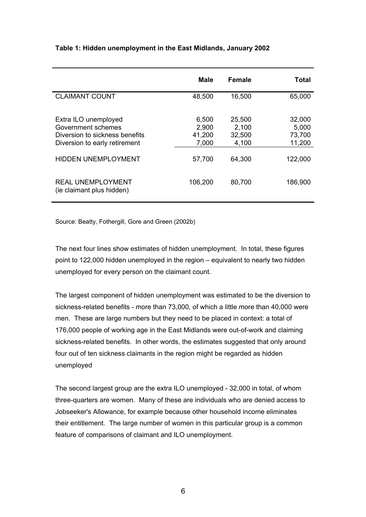|                                                                                                               | Male                              | <b>Female</b>                      | Total                               |
|---------------------------------------------------------------------------------------------------------------|-----------------------------------|------------------------------------|-------------------------------------|
| <b>CLAIMANT COUNT</b>                                                                                         | 48,500                            | 16,500                             | 65,000                              |
| Extra ILO unemployed<br>Government schemes<br>Diversion to sickness benefits<br>Diversion to early retirement | 6,500<br>2,900<br>41,200<br>7,000 | 25,500<br>2,100<br>32,500<br>4,100 | 32,000<br>5,000<br>73,700<br>11,200 |
| <b>HIDDEN UNEMPLOYMENT</b>                                                                                    | 57,700                            | 64,300                             | 122,000                             |
| <b>REAL UNEMPLOYMENT</b><br>(ie claimant plus hidden)                                                         | 106,200                           | 80,700                             | 186,900                             |

#### **Table 1: Hidden unemployment in the East Midlands, January 2002**

Source: Beatty, Fothergill, Gore and Green (2002b)

The next four lines show estimates of hidden unemployment. In total, these figures point to 122,000 hidden unemployed in the region – equivalent to nearly two hidden unemployed for every person on the claimant count.

The largest component of hidden unemployment was estimated to be the diversion to sickness-related benefits - more than 73,000, of which a little more than 40,000 were men. These are large numbers but they need to be placed in context: a total of 176,000 people of working age in the East Midlands were out-of-work and claiming sickness-related benefits. In other words, the estimates suggested that only around four out of ten sickness claimants in the region might be regarded as hidden unemployed

The second largest group are the extra ILO unemployed - 32,000 in total, of whom three-quarters are women. Many of these are individuals who are denied access to Jobseeker's Allowance, for example because other household income eliminates their entitlement. The large number of women in this particular group is a common feature of comparisons of claimant and ILO unemployment.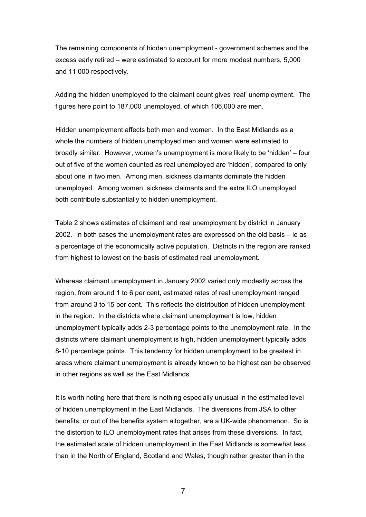The remaining components of hidden unemployment - government schemes and the excess early retired – were estimated to account for more modest numbers, 5,000 and 11,000 respectively.

Adding the hidden unemployed to the claimant count gives 'real' unemployment. The figures here point to 187,000 unemployed, of which 106,000 are men.

Hidden unemployment affects both men and women. In the East Midlands as a whole the numbers of hidden unemployed men and women were estimated to broadly similar. However, women's unemployment is more likely to be 'hidden' – four out of five of the women counted as real unemployed are 'hidden', compared to only about one in two men. Among men, sickness claimants dominate the hidden unemployed. Among women, sickness claimants and the extra ILO unemployed both contribute substantially to hidden unemployment.

Table 2 shows estimates of claimant and real unemployment by district in January 2002. In both cases the unemployment rates are expressed on the old basis – ie as a percentage of the economically active population. Districts in the region are ranked from highest to lowest on the basis of estimated real unemployment.

Whereas claimant unemployment in January 2002 varied only modestly across the region, from around 1 to 6 per cent, estimated rates of real unemployment ranged from around 3 to 15 per cent. This reflects the distribution of hidden unemployment in the region. In the districts where claimant unemployment is low, hidden unemployment typically adds 2-3 percentage points to the unemployment rate. In the districts where claimant unemployment is high, hidden unemployment typically adds 8-10 percentage points. This tendency for hidden unemployment to be greatest in areas where claimant unemployment is already known to be highest can be observed in other regions as well as the East Midlands.

It is worth noting here that there is nothing especially unusual in the estimated level of hidden unemployment in the East Midlands. The diversions from JSA to other benefits, or out of the benefits system altogether, are a UK-wide phenomenon. So is the distortion to ILO unemployment rates that arises from these diversions. In fact, the estimated scale of hidden unemployment in the East Midlands is somewhat less than in the North of England, Scotland and Wales, though rather greater than in the

7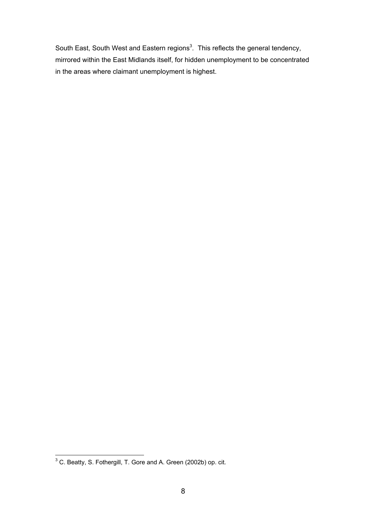South East, South West and Eastern regions<sup>3</sup>. This reflects the general tendency, mirrored within the East Midlands itself, for hidden unemployment to be concentrated in the areas where claimant unemployment is highest.

<sup>&</sup>lt;u>COM</u><br>
<sup>3</sup> C. Beatty, S. Fothergill, T. Gore and A. Green (2002b) op. cit.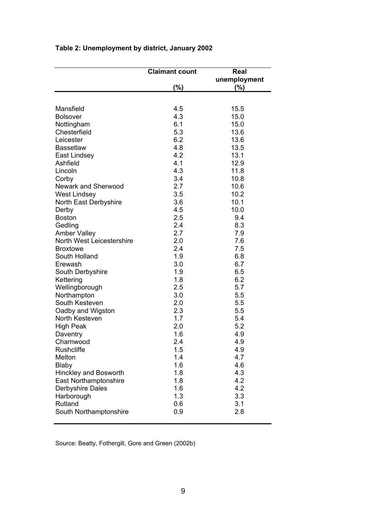|                            | <b>Claimant count</b> | Real         |
|----------------------------|-----------------------|--------------|
|                            |                       | unemployment |
|                            | (%)                   | (%)          |
|                            |                       |              |
|                            |                       |              |
| Mansfield                  | 4.5                   | 15.5         |
| <b>Bolsover</b>            | 4.3                   | 15.0         |
| Nottingham                 | 6.1                   | 15.0         |
| Chesterfield               | 5.3                   | 13.6         |
| Leicester                  | 6.2                   | 13.6         |
| <b>Bassetlaw</b>           | 4.8                   | 13.5         |
| East Lindsey               | 4.2                   | 13.1         |
| Ashfield                   | 4.1                   | 12.9         |
| Lincoln                    | 4.3                   | 11.8         |
| Corby                      | 3.4                   | 10.8         |
| <b>Newark and Sherwood</b> | 2.7                   | 10.6         |
| <b>West Lindsey</b>        | 3.5                   | 10.2         |
| North East Derbyshire      | 3.6                   | 10.1         |
| Derby                      | 4.5                   | 10.0         |
| <b>Boston</b>              | 2.5                   | 9.4          |
| Gedling                    | 2.4                   | 8.3          |
| <b>Amber Valley</b>        | 2.7                   | 7.9          |
| North West Leicestershire  | 2.0                   | 7.6          |
| <b>Broxtowe</b>            | 2.4                   | 7.5          |
| South Holland              | 1.9                   | 6.8          |
| Erewash                    | 3.0                   | 6.7          |
| South Derbyshire           | 1.9                   | 6.5          |
| Kettering                  | 1.8                   | 6.2          |
| Wellingborough             | 2.5                   | 5.7          |
|                            | 3.0                   | 5.5          |
| Northampton                |                       |              |
| South Kesteven             | 2.0                   | 5.5          |
| Oadby and Wigston          | 2.3                   | 5.5          |
| North Kesteven             | 1.7                   | 5.4          |
| <b>High Peak</b>           | 2.0                   | 5.2          |
| Daventry                   | 1.6                   | 4.9          |
| Charnwood                  | 2.4                   | 4.9          |
| Rushcliffe                 | 1.5                   | 4.9          |
| Melton                     | 1.4                   | 4.7          |
| <b>Blaby</b>               | 1.6                   | 4.6          |
| Hinckley and Bosworth      | 1.8                   | 4.3          |
| East Northamptonshire      | 1.8                   | 4.2          |
| Derbyshire Dales           | 1.6                   | 4.2          |
| Harborough                 | 1.3                   | 3.3          |
| Rutland                    | 0.6                   | 3.1          |
| South Northamptonshire     | 0.9                   | 2.8          |
|                            |                       |              |

# **Table 2: Unemployment by district, January 2002**

Source: Beatty, Fothergill, Gore and Green (2002b)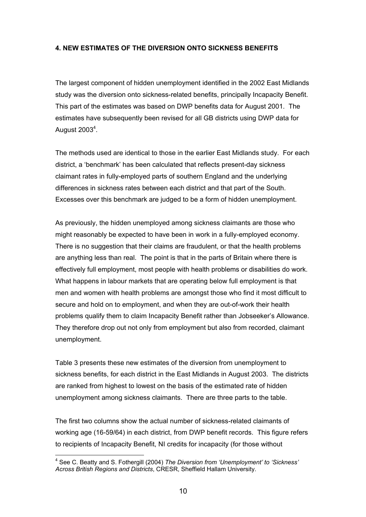#### **4. NEW ESTIMATES OF THE DIVERSION ONTO SICKNESS BENEFITS**

The largest component of hidden unemployment identified in the 2002 East Midlands study was the diversion onto sickness-related benefits, principally Incapacity Benefit. This part of the estimates was based on DWP benefits data for August 2001. The estimates have subsequently been revised for all GB districts using DWP data for August 2003 $^4$ .

The methods used are identical to those in the earlier East Midlands study. For each district, a 'benchmark' has been calculated that reflects present-day sickness claimant rates in fully-employed parts of southern England and the underlying differences in sickness rates between each district and that part of the South. Excesses over this benchmark are judged to be a form of hidden unemployment.

As previously, the hidden unemployed among sickness claimants are those who might reasonably be expected to have been in work in a fully-employed economy. There is no suggestion that their claims are fraudulent, or that the health problems are anything less than real. The point is that in the parts of Britain where there is effectively full employment, most people with health problems or disabilities do work. What happens in labour markets that are operating below full employment is that men and women with health problems are amongst those who find it most difficult to secure and hold on to employment, and when they are out-of-work their health problems qualify them to claim Incapacity Benefit rather than Jobseeker's Allowance. They therefore drop out not only from employment but also from recorded, claimant unemployment.

Table 3 presents these new estimates of the diversion from unemployment to sickness benefits, for each district in the East Midlands in August 2003. The districts are ranked from highest to lowest on the basis of the estimated rate of hidden unemployment among sickness claimants. There are three parts to the table.

The first two columns show the actual number of sickness-related claimants of working age (16-59/64) in each district, from DWP benefit records. This figure refers to recipients of Incapacity Benefit, NI credits for incapacity (for those without

 $\overline{a}$ 

<sup>4</sup> See C. Beatty and S. Fothergill (2004) *The Diversion from 'Unemployment' to 'Sickness' Across British Regions and Districts*, CRESR, Sheffield Hallam University.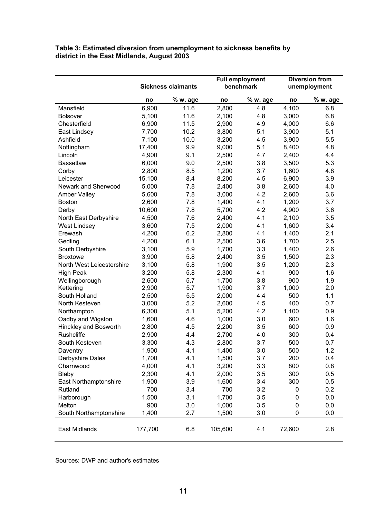#### **Table 3: Estimated diversion from unemployment to sickness benefits by district in the East Midlands, August 2003**

|                           | <b>Sickness claimants</b> |          | <b>Full employment</b><br>benchmark |          | <b>Diversion from</b><br>unemployment |          |
|---------------------------|---------------------------|----------|-------------------------------------|----------|---------------------------------------|----------|
|                           | no                        | % w. age | no                                  | % w. age | no                                    | % w. age |
| Mansfield                 | 6,900                     | 11.6     | 2,800                               | 4.8      | 4,100                                 | 6.8      |
| <b>Bolsover</b>           | 5,100                     | 11.6     | 2,100                               | 4.8      | 3,000                                 | 6.8      |
| Chesterfield              | 6,900                     | 11.5     | 2,900                               | 4.9      | 4,000                                 | 6.6      |
| East Lindsey              | 7,700                     | 10.2     | 3,800                               | 5.1      | 3,900                                 | 5.1      |
| Ashfield                  | 7,100                     | 10.0     | 3,200                               | 4.5      | 3,900                                 | 5.5      |
| Nottingham                | 17,400                    | 9.9      | 9,000                               | 5.1      | 8,400                                 | 4.8      |
| Lincoln                   | 4,900                     | 9.1      | 2,500                               | 4.7      | 2,400                                 | 4.4      |
| <b>Bassetlaw</b>          | 6,000                     | 9.0      | 2,500                               | 3.8      | 3,500                                 | 5.3      |
| Corby                     | 2,800                     | 8.5      | 1,200                               | 3.7      | 1,600                                 | 4.8      |
| Leicester                 | 15,100                    | 8.4      | 8,200                               | 4.5      | 6,900                                 | 3.9      |
| Newark and Sherwood       | 5,000                     | 7.8      | 2,400                               | 3.8      | 2,600                                 | 4.0      |
| <b>Amber Valley</b>       | 5,600                     | 7.8      | 3,000                               | 4.2      | 2,600                                 | 3.6      |
| <b>Boston</b>             | 2,600                     | 7.8      | 1,400                               | 4.1      | 1,200                                 | 3.7      |
| Derby                     | 10,600                    | 7.8      | 5,700                               | 4.2      | 4,900                                 | 3.6      |
| North East Derbyshire     | 4,500                     | 7.6      | 2,400                               | 4.1      | 2,100                                 | 3.5      |
| <b>West Lindsey</b>       | 3,600                     | 7.5      | 2,000                               | 4.1      | 1,600                                 | 3.4      |
| Erewash                   | 4,200                     | 6.2      | 2,800                               | 4.1      | 1,400                                 | 2.1      |
| Gedling                   | 4,200                     | 6.1      | 2,500                               | 3.6      | 1,700                                 | 2.5      |
| South Derbyshire          | 3,100                     | 5.9      | 1,700                               | 3.3      | 1,400                                 | 2.6      |
| <b>Broxtowe</b>           | 3,900                     | 5.8      | 2,400                               | 3.5      | 1,500                                 | 2.3      |
| North West Leicestershire | 3,100                     | 5.8      | 1,900                               | 3.5      | 1,200                                 | 2.3      |
| <b>High Peak</b>          | 3,200                     | 5.8      | 2,300                               | 4.1      | 900                                   | 1.6      |
| Wellingborough            | 2,600                     | 5.7      | 1,700                               | 3.8      | 900                                   | 1.9      |
| Kettering                 | 2,900                     | 5.7      | 1,900                               | 3.7      | 1,000                                 | 2.0      |
| South Holland             | 2,500                     | 5.5      | 2,000                               | 4.4      | 500                                   | 1.1      |
| North Kesteven            | 3,000                     | 5.2      | 2,600                               | 4.5      | 400                                   | 0.7      |
| Northampton               | 6,300                     | 5.1      | 5,200                               | 4.2      | 1,100                                 | 0.9      |
| Oadby and Wigston         | 1,600                     | 4.6      | 1,000                               | 3.0      | 600                                   | 1.6      |
| Hinckley and Bosworth     | 2,800                     | 4.5      | 2,200                               | 3.5      | 600                                   | 0.9      |
| <b>Rushcliffe</b>         | 2,900                     | 4.4      | 2,700                               | 4.0      | 300                                   | 0.4      |
| South Kesteven            | 3,300                     | 4.3      | 2,800                               | 3.7      | 500                                   | 0.7      |
| Daventry                  | 1,900                     | 4.1      | 1,400                               | 3.0      | 500                                   | 1.2      |
| Derbyshire Dales          | 1,700                     | 4.1      | 1,500                               | 3.7      | 200                                   | 0.4      |
| Charnwood                 | 4,000                     | 4.1      | 3,200                               | 3.3      | 800                                   | 0.8      |
| <b>Blaby</b>              | 2,300                     | 4.1      | 2,000                               | 3.5      | 300                                   | 0.5      |
| East Northamptonshire     | 1,900                     | 3.9      | 1,600                               | 3.4      | 300                                   | 0.5      |
| Rutland                   | 700                       | 3.4      | 700                                 | 3.2      | 0                                     | 0.2      |
| Harborough                | 1,500                     | 3.1      | 1,700                               | 3.5      | 0                                     | 0.0      |
| Melton                    | 900                       | 3.0      | 1,000                               | 3.5      | 0                                     | 0.0      |
| South Northamptonshire    | 1,400                     | 2.7      | 1,500                               | 3.0      | 0                                     | 0.0      |
| East Midlands             | 177,700                   | 6.8      | 105,600                             | 4.1      | 72,600                                | 2.8      |

Sources: DWP and author's estimates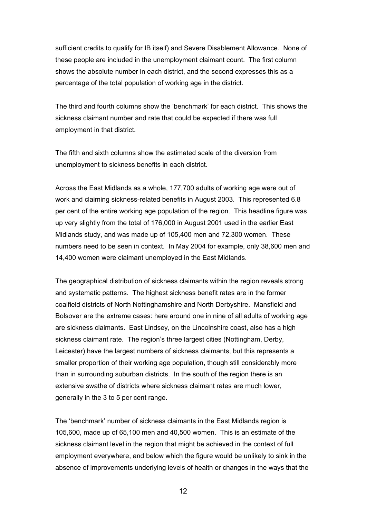sufficient credits to qualify for IB itself) and Severe Disablement Allowance. None of these people are included in the unemployment claimant count. The first column shows the absolute number in each district, and the second expresses this as a percentage of the total population of working age in the district.

The third and fourth columns show the 'benchmark' for each district. This shows the sickness claimant number and rate that could be expected if there was full employment in that district.

The fifth and sixth columns show the estimated scale of the diversion from unemployment to sickness benefits in each district.

Across the East Midlands as a whole, 177,700 adults of working age were out of work and claiming sickness-related benefits in August 2003. This represented 6.8 per cent of the entire working age population of the region. This headline figure was up very slightly from the total of 176,000 in August 2001 used in the earlier East Midlands study, and was made up of 105,400 men and 72,300 women. These numbers need to be seen in context. In May 2004 for example, only 38,600 men and 14,400 women were claimant unemployed in the East Midlands.

The geographical distribution of sickness claimants within the region reveals strong and systematic patterns. The highest sickness benefit rates are in the former coalfield districts of North Nottinghamshire and North Derbyshire. Mansfield and Bolsover are the extreme cases: here around one in nine of all adults of working age are sickness claimants. East Lindsey, on the Lincolnshire coast, also has a high sickness claimant rate. The region's three largest cities (Nottingham, Derby, Leicester) have the largest numbers of sickness claimants, but this represents a smaller proportion of their working age population, though still considerably more than in surrounding suburban districts. In the south of the region there is an extensive swathe of districts where sickness claimant rates are much lower, generally in the 3 to 5 per cent range.

The 'benchmark' number of sickness claimants in the East Midlands region is 105,600, made up of 65,100 men and 40,500 women. This is an estimate of the sickness claimant level in the region that might be achieved in the context of full employment everywhere, and below which the figure would be unlikely to sink in the absence of improvements underlying levels of health or changes in the ways that the

12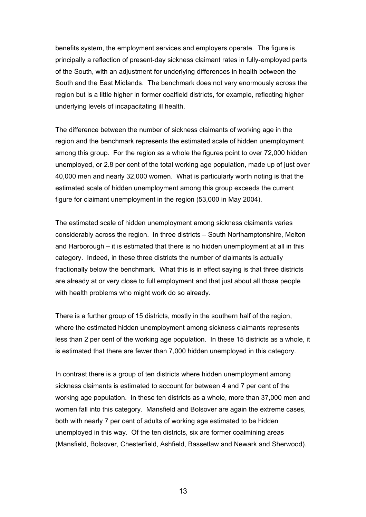benefits system, the employment services and employers operate. The figure is principally a reflection of present-day sickness claimant rates in fully-employed parts of the South, with an adjustment for underlying differences in health between the South and the East Midlands. The benchmark does not vary enormously across the region but is a little higher in former coalfield districts, for example, reflecting higher underlying levels of incapacitating ill health.

The difference between the number of sickness claimants of working age in the region and the benchmark represents the estimated scale of hidden unemployment among this group. For the region as a whole the figures point to over 72,000 hidden unemployed, or 2.8 per cent of the total working age population, made up of just over 40,000 men and nearly 32,000 women. What is particularly worth noting is that the estimated scale of hidden unemployment among this group exceeds the current figure for claimant unemployment in the region (53,000 in May 2004).

The estimated scale of hidden unemployment among sickness claimants varies considerably across the region. In three districts – South Northamptonshire, Melton and Harborough – it is estimated that there is no hidden unemployment at all in this category. Indeed, in these three districts the number of claimants is actually fractionally below the benchmark. What this is in effect saying is that three districts are already at or very close to full employment and that just about all those people with health problems who might work do so already.

There is a further group of 15 districts, mostly in the southern half of the region, where the estimated hidden unemployment among sickness claimants represents less than 2 per cent of the working age population. In these 15 districts as a whole, it is estimated that there are fewer than 7,000 hidden unemployed in this category.

In contrast there is a group of ten districts where hidden unemployment among sickness claimants is estimated to account for between 4 and 7 per cent of the working age population. In these ten districts as a whole, more than 37,000 men and women fall into this category. Mansfield and Bolsover are again the extreme cases, both with nearly 7 per cent of adults of working age estimated to be hidden unemployed in this way. Of the ten districts, six are former coalmining areas (Mansfield, Bolsover, Chesterfield, Ashfield, Bassetlaw and Newark and Sherwood).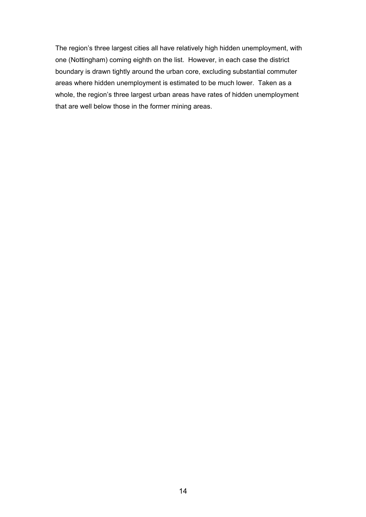The region's three largest cities all have relatively high hidden unemployment, with one (Nottingham) coming eighth on the list. However, in each case the district boundary is drawn tightly around the urban core, excluding substantial commuter areas where hidden unemployment is estimated to be much lower. Taken as a whole, the region's three largest urban areas have rates of hidden unemployment that are well below those in the former mining areas.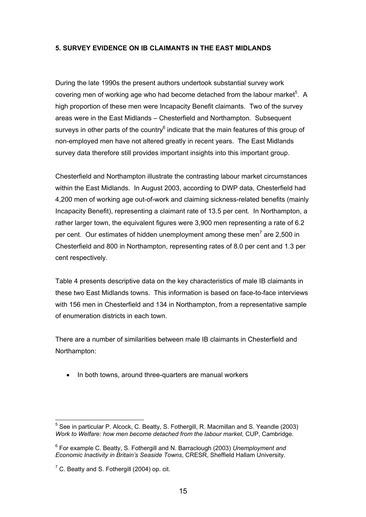#### **5. SURVEY EVIDENCE ON IB CLAIMANTS IN THE EAST MIDLANDS**

During the late 1990s the present authors undertook substantial survey work covering men of working age who had become detached from the labour market $5$ . A high proportion of these men were Incapacity Benefit claimants. Two of the survey areas were in the East Midlands – Chesterfield and Northampton. Subsequent surveys in other parts of the country $^6$  indicate that the main features of this group of non-employed men have not altered greatly in recent years. The East Midlands survey data therefore still provides important insights into this important group.

Chesterfield and Northampton illustrate the contrasting labour market circumstances within the East Midlands. In August 2003, according to DWP data, Chesterfield had 4,200 men of working age out-of-work and claiming sickness-related benefits (mainly Incapacity Benefit), representing a claimant rate of 13.5 per cent. In Northampton, a rather larger town, the equivalent figures were 3,900 men representing a rate of 6.2 per cent. Our estimates of hidden unemployment among these men<sup>7</sup> are 2,500 in Chesterfield and 800 in Northampton, representing rates of 8.0 per cent and 1.3 per cent respectively.

Table 4 presents descriptive data on the key characteristics of male IB claimants in these two East Midlands towns. This information is based on face-to-face interviews with 156 men in Chesterfield and 134 in Northampton, from a representative sample of enumeration districts in each town.

There are a number of similarities between male IB claimants in Chesterfield and Northampton:

• In both towns, around three-quarters are manual workers

 $\overline{a}$ 

 $<sup>5</sup>$  See in particular P. Alcock, C. Beatty, S. Fothergill, R. Macmillan and S. Yeandle (2003)</sup> *Work to Welfare: how men become detached from the labour market*, CUP, Cambridge.

<sup>6</sup> For example C. Beatty, S. Fothergill and N. Barraclough (2003) *Unemployment and Economic Inactivity in Britain's Seaside Towns*, CRESR, Sheffield Hallam University.

 $7$  C. Beatty and S. Fothergill (2004) op. cit.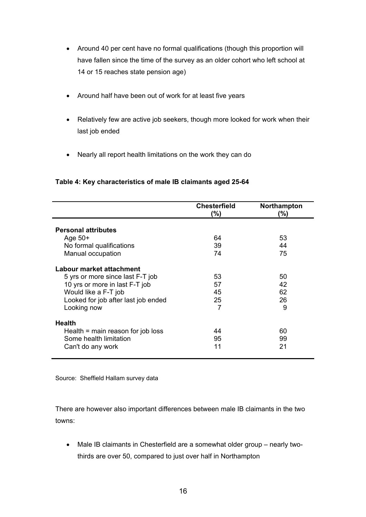- Around 40 per cent have no formal qualifications (though this proportion will have fallen since the time of the survey as an older cohort who left school at 14 or 15 reaches state pension age)
- Around half have been out of work for at least five years
- Relatively few are active job seekers, though more looked for work when their last job ended
- Nearly all report health limitations on the work they can do

## **Table 4: Key characteristics of male IB claimants aged 25-64**

|                                     | <b>Chesterfield</b><br>$(\%)$ | Northampton<br>(%) |
|-------------------------------------|-------------------------------|--------------------|
| <b>Personal attributes</b>          |                               |                    |
| Age $50+$                           | 64                            | 53                 |
| No formal qualifications            | 39                            | 44                 |
| Manual occupation                   | 74                            | 75                 |
| Labour market attachment            |                               |                    |
| 5 yrs or more since last F-T job    | 53                            | 50                 |
| 10 yrs or more in last F-T job      | 57                            | 42                 |
| Would like a F-T job                | 45                            | 62                 |
| Looked for job after last job ended | 25                            | 26                 |
| Looking now                         | 7                             | 9                  |
| <b>Health</b>                       |                               |                    |
| Health $=$ main reason for job loss | 44                            | 60                 |
| Some health limitation              | 95                            | 99                 |
| Can't do any work                   | 11                            | 21                 |

Source: Sheffield Hallam survey data

There are however also important differences between male IB claimants in the two towns:

• Male IB claimants in Chesterfield are a somewhat older group – nearly twothirds are over 50, compared to just over half in Northampton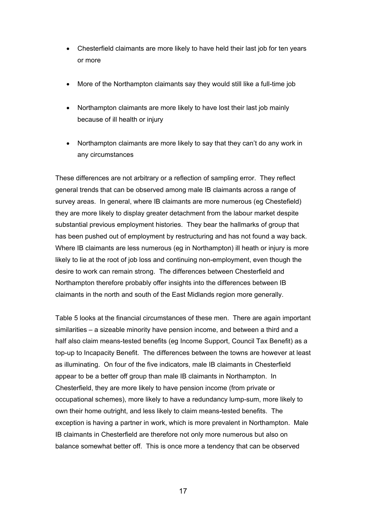- Chesterfield claimants are more likely to have held their last job for ten years or more
- More of the Northampton claimants say they would still like a full-time job
- Northampton claimants are more likely to have lost their last job mainly because of ill health or injury
- Northampton claimants are more likely to say that they can't do any work in any circumstances

These differences are not arbitrary or a reflection of sampling error. They reflect general trends that can be observed among male IB claimants across a range of survey areas. In general, where IB claimants are more numerous (eg Chestefield) they are more likely to display greater detachment from the labour market despite substantial previous employment histories. They bear the hallmarks of group that has been pushed out of employment by restructuring and has not found a way back. Where IB claimants are less numerous (eg in Northampton) ill heath or injury is more likely to lie at the root of job loss and continuing non-employment, even though the desire to work can remain strong. The differences between Chesterfield and Northampton therefore probably offer insights into the differences between IB claimants in the north and south of the East Midlands region more generally.

Table 5 looks at the financial circumstances of these men. There are again important similarities – a sizeable minority have pension income, and between a third and a half also claim means-tested benefits (eg Income Support, Council Tax Benefit) as a top-up to Incapacity Benefit. The differences between the towns are however at least as illuminating. On four of the five indicators, male IB claimants in Chesterfield appear to be a better off group than male IB claimants in Northampton. In Chesterfield, they are more likely to have pension income (from private or occupational schemes), more likely to have a redundancy lump-sum, more likely to own their home outright, and less likely to claim means-tested benefits. The exception is having a partner in work, which is more prevalent in Northampton. Male IB claimants in Chesterfield are therefore not only more numerous but also on balance somewhat better off. This is once more a tendency that can be observed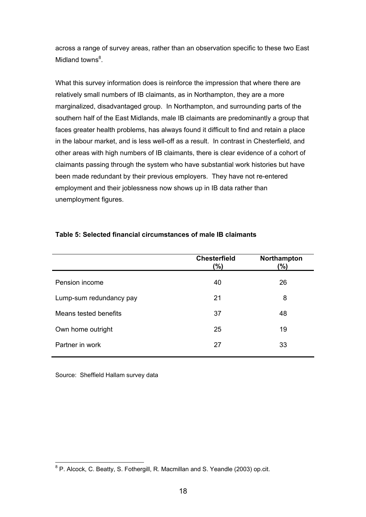across a range of survey areas, rather than an observation specific to these two East Midland towns<sup>8</sup>.

What this survey information does is reinforce the impression that where there are relatively small numbers of IB claimants, as in Northampton, they are a more marginalized, disadvantaged group. In Northampton, and surrounding parts of the southern half of the East Midlands, male IB claimants are predominantly a group that faces greater health problems, has always found it difficult to find and retain a place in the labour market, and is less well-off as a result. In contrast in Chesterfield, and other areas with high numbers of IB claimants, there is clear evidence of a cohort of claimants passing through the system who have substantial work histories but have been made redundant by their previous employers. They have not re-entered employment and their joblessness now shows up in IB data rather than unemployment figures.

| <b>Chesterfield</b><br>(%) | Northampton<br>(%) |
|----------------------------|--------------------|
| 40                         | 26                 |
| 21                         | 8                  |
| 37                         | 48                 |
| 25                         | 19                 |
| 27                         | 33                 |
|                            |                    |

#### **Table 5: Selected financial circumstances of male IB claimants**

Source: Sheffield Hallam survey data

 8 P. Alcock, C. Beatty, S. Fothergill, R. Macmillan and S. Yeandle (2003) op.cit.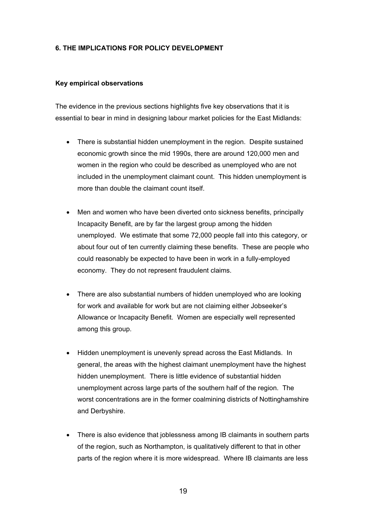#### **6. THE IMPLICATIONS FOR POLICY DEVELOPMENT**

#### **Key empirical observations**

The evidence in the previous sections highlights five key observations that it is essential to bear in mind in designing labour market policies for the East Midlands:

- There is substantial hidden unemployment in the region. Despite sustained economic growth since the mid 1990s, there are around 120,000 men and women in the region who could be described as unemployed who are not included in the unemployment claimant count. This hidden unemployment is more than double the claimant count itself
- Men and women who have been diverted onto sickness benefits, principally Incapacity Benefit, are by far the largest group among the hidden unemployed. We estimate that some 72,000 people fall into this category, or about four out of ten currently claiming these benefits. These are people who could reasonably be expected to have been in work in a fully-employed economy. They do not represent fraudulent claims.
- There are also substantial numbers of hidden unemployed who are looking for work and available for work but are not claiming either Jobseeker's Allowance or Incapacity Benefit. Women are especially well represented among this group.
- Hidden unemployment is unevenly spread across the East Midlands. In general, the areas with the highest claimant unemployment have the highest hidden unemployment. There is little evidence of substantial hidden unemployment across large parts of the southern half of the region. The worst concentrations are in the former coalmining districts of Nottinghamshire and Derbyshire.
- There is also evidence that joblessness among IB claimants in southern parts of the region, such as Northampton, is qualitatively different to that in other parts of the region where it is more widespread. Where IB claimants are less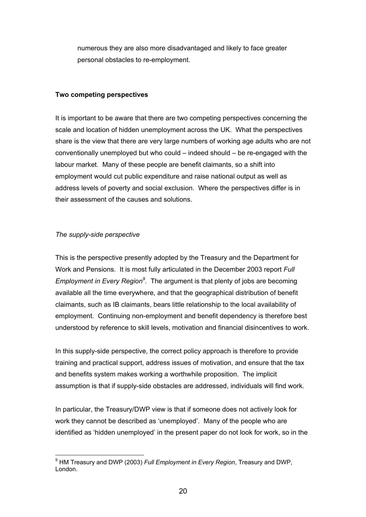numerous they are also more disadvantaged and likely to face greater personal obstacles to re-employment.

#### **Two competing perspectives**

It is important to be aware that there are two competing perspectives concerning the scale and location of hidden unemployment across the UK. What the perspectives share is the view that there are very large numbers of working age adults who are not conventionally unemployed but who could – indeed should – be re-engaged with the labour market. Many of these people are benefit claimants, so a shift into employment would cut public expenditure and raise national output as well as address levels of poverty and social exclusion. Where the perspectives differ is in their assessment of the causes and solutions.

#### *The supply-side perspective*

This is the perspective presently adopted by the Treasury and the Department for Work and Pensions. It is most fully articulated in the December 2003 report *Full*  Employment in Every Region<sup>9</sup>. The argument is that plenty of jobs are becoming available all the time everywhere, and that the geographical distribution of benefit claimants, such as IB claimants, bears little relationship to the local availability of employment. Continuing non-employment and benefit dependency is therefore best understood by reference to skill levels, motivation and financial disincentives to work.

In this supply-side perspective, the correct policy approach is therefore to provide training and practical support, address issues of motivation, and ensure that the tax and benefits system makes working a worthwhile proposition. The implicit assumption is that if supply-side obstacles are addressed, individuals will find work.

In particular, the Treasury/DWP view is that if someone does not actively look for work they cannot be described as 'unemployed'. Many of the people who are identified as 'hidden unemployed' in the present paper do not look for work, so in the

 $\overline{a}$ 9 HM Treasury and DWP (2003) *Full Employment in Every Region*, Treasury and DWP, London.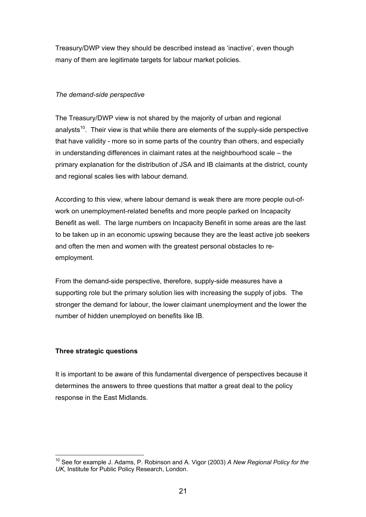Treasury/DWP view they should be described instead as 'inactive', even though many of them are legitimate targets for labour market policies.

#### *The demand-side perspective*

The Treasury/DWP view is not shared by the majority of urban and regional analysts<sup>10</sup>. Their view is that while there are elements of the supply-side perspective that have validity - more so in some parts of the country than others, and especially in understanding differences in claimant rates at the neighbourhood scale – the primary explanation for the distribution of JSA and IB claimants at the district, county and regional scales lies with labour demand.

According to this view, where labour demand is weak there are more people out-ofwork on unemployment-related benefits and more people parked on Incapacity Benefit as well. The large numbers on Incapacity Benefit in some areas are the last to be taken up in an economic upswing because they are the least active job seekers and often the men and women with the greatest personal obstacles to reemployment.

From the demand-side perspective, therefore, supply-side measures have a supporting role but the primary solution lies with increasing the supply of jobs. The stronger the demand for labour, the lower claimant unemployment and the lower the number of hidden unemployed on benefits like IB.

## **Three strategic questions**

It is important to be aware of this fundamental divergence of perspectives because it determines the answers to three questions that matter a great deal to the policy response in the East Midlands.

 $\overline{a}$ 10 See for example J. Adams, P. Robinson and A. Vigor (2003) *A New Regional Policy for the UK*, Institute for Public Policy Research, London.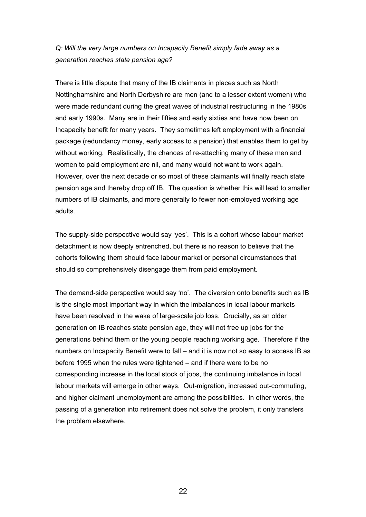*Q: Will the very large numbers on Incapacity Benefit simply fade away as a generation reaches state pension age?* 

There is little dispute that many of the IB claimants in places such as North Nottinghamshire and North Derbyshire are men (and to a lesser extent women) who were made redundant during the great waves of industrial restructuring in the 1980s and early 1990s. Many are in their fifties and early sixties and have now been on Incapacity benefit for many years. They sometimes left employment with a financial package (redundancy money, early access to a pension) that enables them to get by without working. Realistically, the chances of re-attaching many of these men and women to paid employment are nil, and many would not want to work again. However, over the next decade or so most of these claimants will finally reach state pension age and thereby drop off IB. The question is whether this will lead to smaller numbers of IB claimants, and more generally to fewer non-employed working age adults.

The supply-side perspective would say 'yes'. This is a cohort whose labour market detachment is now deeply entrenched, but there is no reason to believe that the cohorts following them should face labour market or personal circumstances that should so comprehensively disengage them from paid employment.

The demand-side perspective would say 'no'. The diversion onto benefits such as IB is the single most important way in which the imbalances in local labour markets have been resolved in the wake of large-scale job loss. Crucially, as an older generation on IB reaches state pension age, they will not free up jobs for the generations behind them or the young people reaching working age. Therefore if the numbers on Incapacity Benefit were to fall – and it is now not so easy to access IB as before 1995 when the rules were tightened – and if there were to be no corresponding increase in the local stock of jobs, the continuing imbalance in local labour markets will emerge in other ways. Out-migration, increased out-commuting, and higher claimant unemployment are among the possibilities. In other words, the passing of a generation into retirement does not solve the problem, it only transfers the problem elsewhere.

22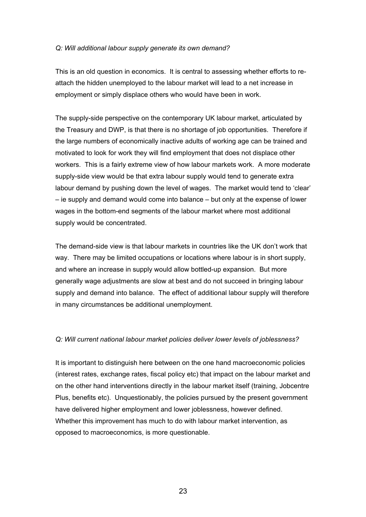#### *Q: Will additional labour supply generate its own demand?*

This is an old question in economics. It is central to assessing whether efforts to reattach the hidden unemployed to the labour market will lead to a net increase in employment or simply displace others who would have been in work.

The supply-side perspective on the contemporary UK labour market, articulated by the Treasury and DWP, is that there is no shortage of job opportunities. Therefore if the large numbers of economically inactive adults of working age can be trained and motivated to look for work they will find employment that does not displace other workers. This is a fairly extreme view of how labour markets work. A more moderate supply-side view would be that extra labour supply would tend to generate extra labour demand by pushing down the level of wages. The market would tend to 'clear' – ie supply and demand would come into balance – but only at the expense of lower wages in the bottom-end segments of the labour market where most additional supply would be concentrated.

The demand-side view is that labour markets in countries like the UK don't work that way. There may be limited occupations or locations where labour is in short supply, and where an increase in supply would allow bottled-up expansion. But more generally wage adjustments are slow at best and do not succeed in bringing labour supply and demand into balance. The effect of additional labour supply will therefore in many circumstances be additional unemployment.

#### *Q: Will current national labour market policies deliver lower levels of joblessness?*

It is important to distinguish here between on the one hand macroeconomic policies (interest rates, exchange rates, fiscal policy etc) that impact on the labour market and on the other hand interventions directly in the labour market itself (training, Jobcentre Plus, benefits etc). Unquestionably, the policies pursued by the present government have delivered higher employment and lower joblessness, however defined. Whether this improvement has much to do with labour market intervention, as opposed to macroeconomics, is more questionable.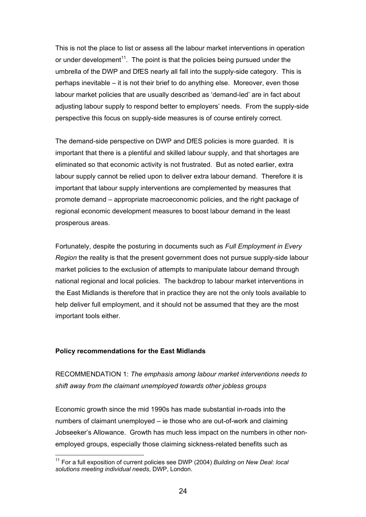This is not the place to list or assess all the labour market interventions in operation or under development<sup>11</sup>. The point is that the policies being pursued under the umbrella of the DWP and DfES nearly all fall into the supply-side category. This is perhaps inevitable – it is not their brief to do anything else. Moreover, even those labour market policies that are usually described as 'demand-led' are in fact about adjusting labour supply to respond better to employers' needs. From the supply-side perspective this focus on supply-side measures is of course entirely correct.

The demand-side perspective on DWP and DfES policies is more guarded. It is important that there is a plentiful and skilled labour supply, and that shortages are eliminated so that economic activity is not frustrated. But as noted earlier, extra labour supply cannot be relied upon to deliver extra labour demand. Therefore it is important that labour supply interventions are complemented by measures that promote demand – appropriate macroeconomic policies, and the right package of regional economic development measures to boost labour demand in the least prosperous areas.

Fortunately, despite the posturing in documents such as *Full Employment in Every Region* the reality is that the present government does not pursue supply-side labour market policies to the exclusion of attempts to manipulate labour demand through national regional and local policies. The backdrop to labour market interventions in the East Midlands is therefore that in practice they are not the only tools available to help deliver full employment, and it should not be assumed that they are the most important tools either.

#### **Policy recommendations for the East Midlands**

 $\overline{a}$ 

RECOMMENDATION 1: *The emphasis among labour market interventions needs to shift away from the claimant unemployed towards other jobless groups* 

Economic growth since the mid 1990s has made substantial in-roads into the numbers of claimant unemployed – ie those who are out-of-work and claiming Jobseeker's Allowance. Growth has much less impact on the numbers in other nonemployed groups, especially those claiming sickness-related benefits such as

<sup>11</sup> For a full exposition of current policies see DWP (2004) *Building on New Deal: local solutions meeting individual needs*, DWP, London.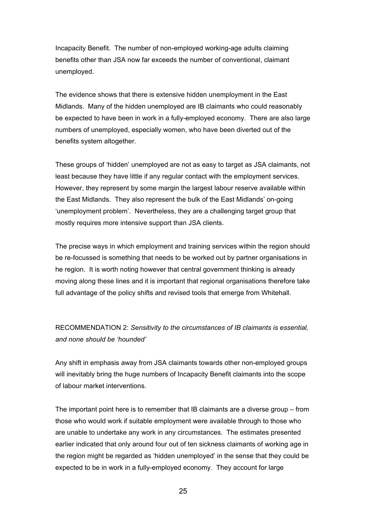Incapacity Benefit. The number of non-employed working-age adults claiming benefits other than JSA now far exceeds the number of conventional, claimant unemployed.

The evidence shows that there is extensive hidden unemployment in the East Midlands. Many of the hidden unemployed are IB claimants who could reasonably be expected to have been in work in a fully-employed economy. There are also large numbers of unemployed, especially women, who have been diverted out of the benefits system altogether.

These groups of 'hidden' unemployed are not as easy to target as JSA claimants, not least because they have little if any regular contact with the employment services. However, they represent by some margin the largest labour reserve available within the East Midlands. They also represent the bulk of the East Midlands' on-going 'unemployment problem'. Nevertheless, they are a challenging target group that mostly requires more intensive support than JSA clients.

The precise ways in which employment and training services within the region should be re-focussed is something that needs to be worked out by partner organisations in he region. It is worth noting however that central government thinking is already moving along these lines and it is important that regional organisations therefore take full advantage of the policy shifts and revised tools that emerge from Whitehall.

# RECOMMENDATION 2: *Sensitivity to the circumstances of IB claimants is essential, and none should be 'hounded'*

Any shift in emphasis away from JSA claimants towards other non-employed groups will inevitably bring the huge numbers of Incapacity Benefit claimants into the scope of labour market interventions.

The important point here is to remember that IB claimants are a diverse group – from those who would work if suitable employment were available through to those who are unable to undertake any work in any circumstances. The estimates presented earlier indicated that only around four out of ten sickness claimants of working age in the region might be regarded as 'hidden unemployed' in the sense that they could be expected to be in work in a fully-employed economy. They account for large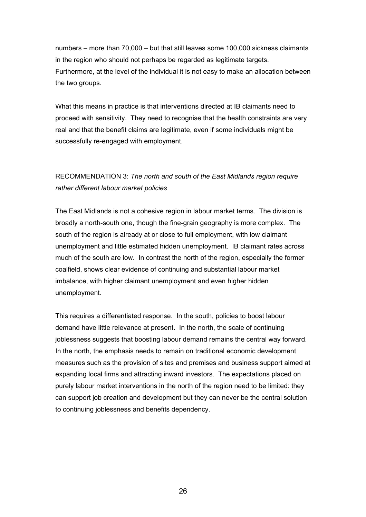numbers – more than 70,000 – but that still leaves some 100,000 sickness claimants in the region who should not perhaps be regarded as legitimate targets. Furthermore, at the level of the individual it is not easy to make an allocation between the two groups.

What this means in practice is that interventions directed at IB claimants need to proceed with sensitivity. They need to recognise that the health constraints are very real and that the benefit claims are legitimate, even if some individuals might be successfully re-engaged with employment.

# RECOMMENDATION 3: *The north and south of the East Midlands region require rather different labour market policies*

The East Midlands is not a cohesive region in labour market terms. The division is broadly a north-south one, though the fine-grain geography is more complex. The south of the region is already at or close to full employment, with low claimant unemployment and little estimated hidden unemployment. IB claimant rates across much of the south are low. In contrast the north of the region, especially the former coalfield, shows clear evidence of continuing and substantial labour market imbalance, with higher claimant unemployment and even higher hidden unemployment.

This requires a differentiated response. In the south, policies to boost labour demand have little relevance at present. In the north, the scale of continuing joblessness suggests that boosting labour demand remains the central way forward. In the north, the emphasis needs to remain on traditional economic development measures such as the provision of sites and premises and business support aimed at expanding local firms and attracting inward investors. The expectations placed on purely labour market interventions in the north of the region need to be limited: they can support job creation and development but they can never be the central solution to continuing joblessness and benefits dependency.

26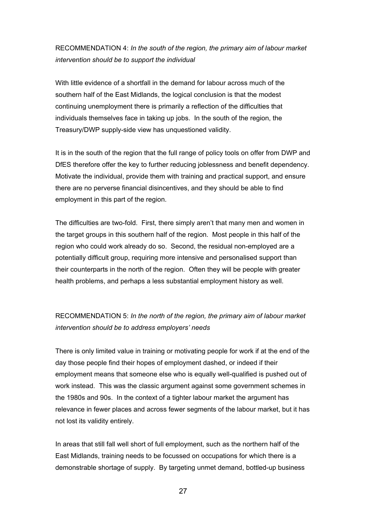# RECOMMENDATION 4: *In the south of the region, the primary aim of labour market intervention should be to support the individual*

With little evidence of a shortfall in the demand for labour across much of the southern half of the East Midlands, the logical conclusion is that the modest continuing unemployment there is primarily a reflection of the difficulties that individuals themselves face in taking up jobs. In the south of the region, the Treasury/DWP supply-side view has unquestioned validity.

It is in the south of the region that the full range of policy tools on offer from DWP and DfES therefore offer the key to further reducing joblessness and benefit dependency. Motivate the individual, provide them with training and practical support, and ensure there are no perverse financial disincentives, and they should be able to find employment in this part of the region.

The difficulties are two-fold. First, there simply aren't that many men and women in the target groups in this southern half of the region. Most people in this half of the region who could work already do so. Second, the residual non-employed are a potentially difficult group, requiring more intensive and personalised support than their counterparts in the north of the region. Often they will be people with greater health problems, and perhaps a less substantial employment history as well.

# RECOMMENDATION 5: *In the north of the region, the primary aim of labour market intervention should be to address employers' needs*

There is only limited value in training or motivating people for work if at the end of the day those people find their hopes of employment dashed, or indeed if their employment means that someone else who is equally well-qualified is pushed out of work instead. This was the classic argument against some government schemes in the 1980s and 90s. In the context of a tighter labour market the argument has relevance in fewer places and across fewer segments of the labour market, but it has not lost its validity entirely.

In areas that still fall well short of full employment, such as the northern half of the East Midlands, training needs to be focussed on occupations for which there is a demonstrable shortage of supply. By targeting unmet demand, bottled-up business

27